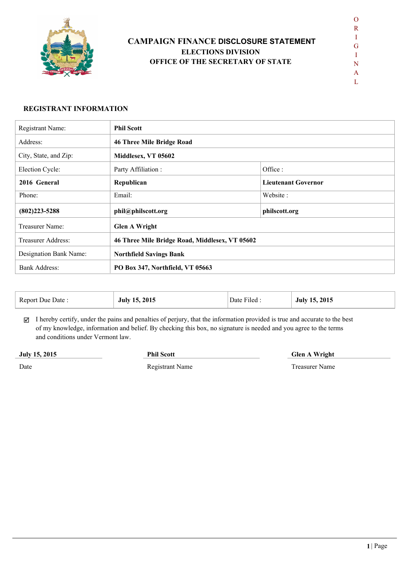

# **CAMPAIGN FINANCE DISCLOSURE STATEMENT ELECTIONS DIVISION OFFICE OF THE SECRETARY OF STATE**

 $\mathbf{L}$ 

#### **REGISTRANT INFORMATION**

| Registrant Name:       | <b>Phil Scott</b>                              |                            |  |
|------------------------|------------------------------------------------|----------------------------|--|
| Address:               | <b>46 Three Mile Bridge Road</b>               |                            |  |
| City, State, and Zip:  | Middlesex, VT 05602                            |                            |  |
| Election Cycle:        | Party Affiliation:                             | Office:                    |  |
| 2016 General           | Republican                                     | <b>Lieutenant Governor</b> |  |
| Phone:                 | Email:                                         | Website:                   |  |
| $(802)223 - 5288$      | phil@philscott.org                             | philscott.org              |  |
| Treasurer Name:        | <b>Glen A Wright</b>                           |                            |  |
| Treasurer Address:     | 46 Three Mile Bridge Road, Middlesex, VT 05602 |                            |  |
| Designation Bank Name: | <b>Northfield Savings Bank</b>                 |                            |  |
| <b>Bank Address:</b>   | PO Box 347, Northfield, VT 05663               |                            |  |

| Report Due Date : | . 2015<br>15.<br>July | $\mathbf{r}$<br>Date Filed. | .2015<br>July 15<br>___ |
|-------------------|-----------------------|-----------------------------|-------------------------|
|-------------------|-----------------------|-----------------------------|-------------------------|

 $\boxtimes$  I hereby certify, under the pains and penalties of perjury, that the information provided is true and accurate to the best of my knowledge, information and belief. By checking this box, no signature is needed and you agree to the terms and conditions under Vermont law.

**July 15, 2015**

**Phil Scott Glen A Wright** 

Date

Registrant Name Treasurer Name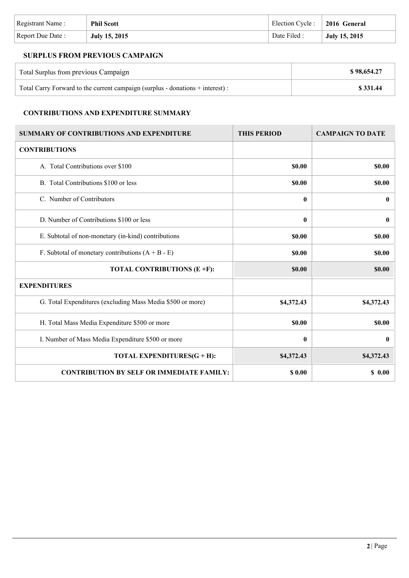| Registrant Name: | <b>Phil Scott</b>    | Election Cycle : 2016 General |               |
|------------------|----------------------|-------------------------------|---------------|
| Report Due Date: | <b>July 15, 2015</b> | Date Filed :                  | July 15, 2015 |

## **SURPLUS FROM PREVIOUS CAMPAIGN**

| Total Surplus from previous Campaign                                           | \$98,654.27 |
|--------------------------------------------------------------------------------|-------------|
| Total Carry Forward to the current campaign (surplus - donations + interest) : | \$331.44    |

### **CONTRIBUTIONS AND EXPENDITURE SUMMARY**

| <b>SUMMARY OF CONTRIBUTIONS AND EXPENDITURE</b>            | <b>THIS PERIOD</b> | <b>CAMPAIGN TO DATE</b> |
|------------------------------------------------------------|--------------------|-------------------------|
| <b>CONTRIBUTIONS</b>                                       |                    |                         |
| A. Total Contributions over \$100                          | <b>SO.00</b>       | \$0.00                  |
| B. Total Contributions \$100 or less                       | <b>\$0.00</b>      | \$0.00                  |
| C. Number of Contributors                                  | 0                  | $\bf{0}$                |
| D. Number of Contributions \$100 or less                   | $\bf{0}$           | $\bf{0}$                |
| E. Subtotal of non-monetary (in-kind) contributions        | \$0.00             | \$0.00                  |
| F. Subtotal of monetary contributions $(A + B - E)$        | \$0.00             | \$0.00                  |
| TOTAL CONTRIBUTIONS (E +F):                                | \$0.00             | \$0.00                  |
| <b>EXPENDITURES</b>                                        |                    |                         |
| G. Total Expenditures (excluding Mass Media \$500 or more) | \$4,372.43         | \$4,372.43              |
| H. Total Mass Media Expenditure \$500 or more              | <b>\$0.00</b>      | \$0.00                  |
| I. Number of Mass Media Expenditure \$500 or more          | 0                  | $\bf{0}$                |
| TOTAL EXPENDITURES(G + H):                                 | \$4,372.43         | \$4,372.43              |
| <b>CONTRIBUTION BY SELF OR IMMEDIATE FAMILY:</b>           | \$ 0.00            | \$0.00                  |